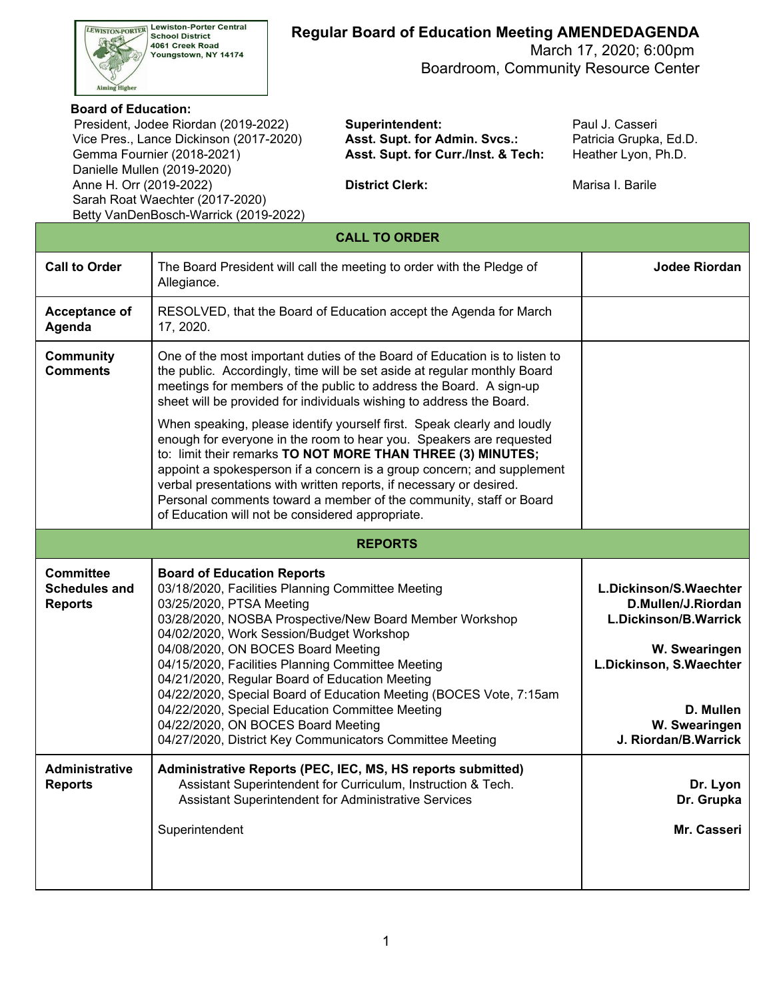

## **Regular Board of Education Meeting AMENDEDAGENDA**

 March 17, 2020; 6:00pm Boardroom, Community Resource Center

#### **Board of Education:**

 Vice Pres., Lance Dickinson (2017-2020) **Asst. Supt. for Admin. Svcs.:** Patricia Grupka, Ed.D. Gemma Fournier (2018-2021) Danielle Mullen (2019-2020) Anne H. Orr (2019-2022) **District Clerk:** Marisa I. Barile Sarah Roat Waechter (2017-2020) President, Jodee Riordan (2019-2022) **Superintendent:** Paul J. Casseri Betty VanDenBosch-Warrick (2019-2022)

Asst. Supt. for Curr./Inst. & Tech: Heather Lyon, Ph.D.

| <b>CALL TO ORDER</b>                                       |                                                                                                                                                                                                                                                                                                                                                                                                                                                                                                                                                                                                   |                                       |  |  |  |
|------------------------------------------------------------|---------------------------------------------------------------------------------------------------------------------------------------------------------------------------------------------------------------------------------------------------------------------------------------------------------------------------------------------------------------------------------------------------------------------------------------------------------------------------------------------------------------------------------------------------------------------------------------------------|---------------------------------------|--|--|--|
| <b>Call to Order</b>                                       | The Board President will call the meeting to order with the Pledge of<br>Allegiance.                                                                                                                                                                                                                                                                                                                                                                                                                                                                                                              | <b>Jodee Riordan</b>                  |  |  |  |
| Acceptance of<br>Agenda                                    |                                                                                                                                                                                                                                                                                                                                                                                                                                                                                                                                                                                                   |                                       |  |  |  |
| <b>Community</b><br><b>Comments</b>                        |                                                                                                                                                                                                                                                                                                                                                                                                                                                                                                                                                                                                   |                                       |  |  |  |
|                                                            | When speaking, please identify yourself first. Speak clearly and loudly<br>enough for everyone in the room to hear you. Speakers are requested<br>to: limit their remarks TO NOT MORE THAN THREE (3) MINUTES;<br>appoint a spokesperson if a concern is a group concern; and supplement<br>verbal presentations with written reports, if necessary or desired.<br>Personal comments toward a member of the community, staff or Board<br>of Education will not be considered appropriate.                                                                                                          |                                       |  |  |  |
|                                                            | <b>REPORTS</b>                                                                                                                                                                                                                                                                                                                                                                                                                                                                                                                                                                                    |                                       |  |  |  |
| <b>Committee</b><br><b>Schedules and</b><br><b>Reports</b> | <b>Board of Education Reports</b><br>03/18/2020, Facilities Planning Committee Meeting<br>03/25/2020, PTSA Meeting<br>03/28/2020, NOSBA Prospective/New Board Member Workshop<br>04/02/2020, Work Session/Budget Workshop<br>04/08/2020, ON BOCES Board Meeting<br>04/15/2020, Facilities Planning Committee Meeting<br>04/21/2020, Regular Board of Education Meeting<br>04/22/2020, Special Board of Education Meeting (BOCES Vote, 7:15am<br>04/22/2020, Special Education Committee Meeting<br>04/22/2020, ON BOCES Board Meeting<br>04/27/2020, District Key Communicators Committee Meeting |                                       |  |  |  |
| <b>Administrative</b><br><b>Reports</b>                    | Administrative Reports (PEC, IEC, MS, HS reports submitted)<br>Assistant Superintendent for Curriculum, Instruction & Tech.<br>Assistant Superintendent for Administrative Services<br>Superintendent                                                                                                                                                                                                                                                                                                                                                                                             | Dr. Lyon<br>Dr. Grupka<br>Mr. Casseri |  |  |  |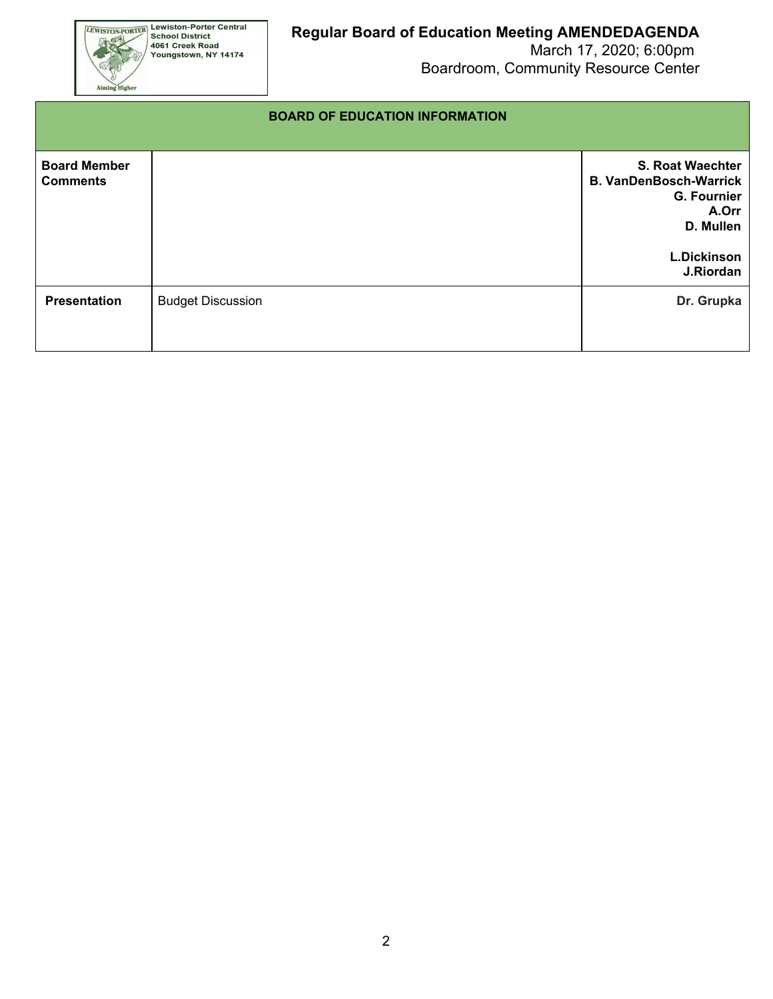

 March 17, 2020; 6:00pm Boardroom, Community Resource Center

#### **BOARD OF EDUCATION INFORMATION**

| <b>Board Member</b><br><b>Comments</b> |                          | <b>S. Roat Waechter</b><br><b>B. VanDenBosch-Warrick</b><br><b>G. Fournier</b><br>A.Orr<br>D. Mullen |
|----------------------------------------|--------------------------|------------------------------------------------------------------------------------------------------|
|                                        |                          | <b>L.Dickinson</b><br>J.Riordan                                                                      |
| <b>Presentation</b>                    | <b>Budget Discussion</b> | Dr. Grupka                                                                                           |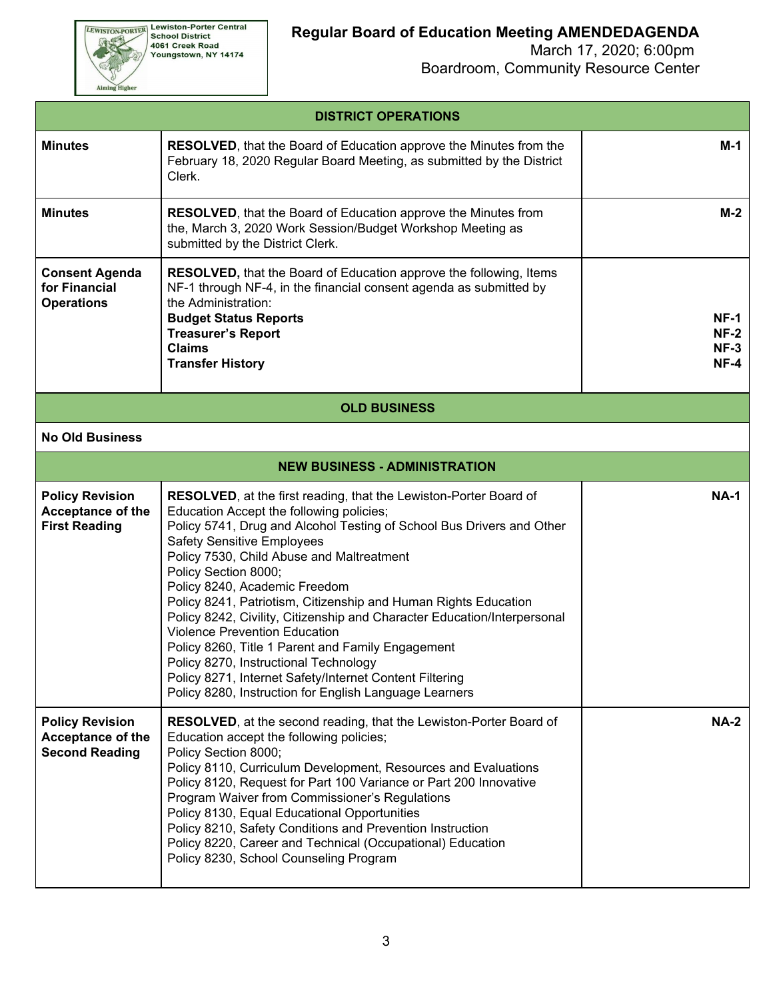**EEWISTON-PORTER Lewiston-Porter Central**<br>School District<br>4061 Creek Road<br>Youngstown, NY 14174

Aiming Higher

 March 17, 2020; 6:00pm Boardroom, Community Resource Center

| <b>DISTRICT OPERATIONS</b>                                                  |                                                                                                                                                                                                                                                                                                                                                                                                                                                                                                                                                                                                                                                                                                                                                     |             |  |  |  |
|-----------------------------------------------------------------------------|-----------------------------------------------------------------------------------------------------------------------------------------------------------------------------------------------------------------------------------------------------------------------------------------------------------------------------------------------------------------------------------------------------------------------------------------------------------------------------------------------------------------------------------------------------------------------------------------------------------------------------------------------------------------------------------------------------------------------------------------------------|-------------|--|--|--|
| <b>Minutes</b>                                                              | <b>RESOLVED, that the Board of Education approve the Minutes from the</b><br>February 18, 2020 Regular Board Meeting, as submitted by the District<br>Clerk.                                                                                                                                                                                                                                                                                                                                                                                                                                                                                                                                                                                        |             |  |  |  |
| <b>Minutes</b>                                                              | $M-2$                                                                                                                                                                                                                                                                                                                                                                                                                                                                                                                                                                                                                                                                                                                                               |             |  |  |  |
| <b>Consent Agenda</b><br>for Financial<br><b>Operations</b>                 | $NF-1$<br>$NF-2$<br>$NF-3$<br>$NF-4$                                                                                                                                                                                                                                                                                                                                                                                                                                                                                                                                                                                                                                                                                                                |             |  |  |  |
|                                                                             | <b>OLD BUSINESS</b>                                                                                                                                                                                                                                                                                                                                                                                                                                                                                                                                                                                                                                                                                                                                 |             |  |  |  |
| <b>No Old Business</b>                                                      |                                                                                                                                                                                                                                                                                                                                                                                                                                                                                                                                                                                                                                                                                                                                                     |             |  |  |  |
|                                                                             | <b>NEW BUSINESS - ADMINISTRATION</b>                                                                                                                                                                                                                                                                                                                                                                                                                                                                                                                                                                                                                                                                                                                |             |  |  |  |
| <b>Policy Revision</b><br><b>Acceptance of the</b><br><b>First Reading</b>  | <b>RESOLVED</b> , at the first reading, that the Lewiston-Porter Board of<br>Education Accept the following policies;<br>Policy 5741, Drug and Alcohol Testing of School Bus Drivers and Other<br><b>Safety Sensitive Employees</b><br>Policy 7530, Child Abuse and Maltreatment<br>Policy Section 8000;<br>Policy 8240, Academic Freedom<br>Policy 8241, Patriotism, Citizenship and Human Rights Education<br>Policy 8242, Civility, Citizenship and Character Education/Interpersonal<br><b>Violence Prevention Education</b><br>Policy 8260, Title 1 Parent and Family Engagement<br>Policy 8270, Instructional Technology<br>Policy 8271, Internet Safety/Internet Content Filtering<br>Policy 8280, Instruction for English Language Learners | <b>NA-1</b> |  |  |  |
| <b>Policy Revision</b><br><b>Acceptance of the</b><br><b>Second Reading</b> | <b>RESOLVED</b> , at the second reading, that the Lewiston-Porter Board of<br>Education accept the following policies;<br>Policy Section 8000;<br>Policy 8110, Curriculum Development, Resources and Evaluations<br>Policy 8120, Request for Part 100 Variance or Part 200 Innovative<br>Program Waiver from Commissioner's Regulations<br>Policy 8130, Equal Educational Opportunities<br>Policy 8210, Safety Conditions and Prevention Instruction<br>Policy 8220, Career and Technical (Occupational) Education<br>Policy 8230, School Counseling Program                                                                                                                                                                                        | <b>NA-2</b> |  |  |  |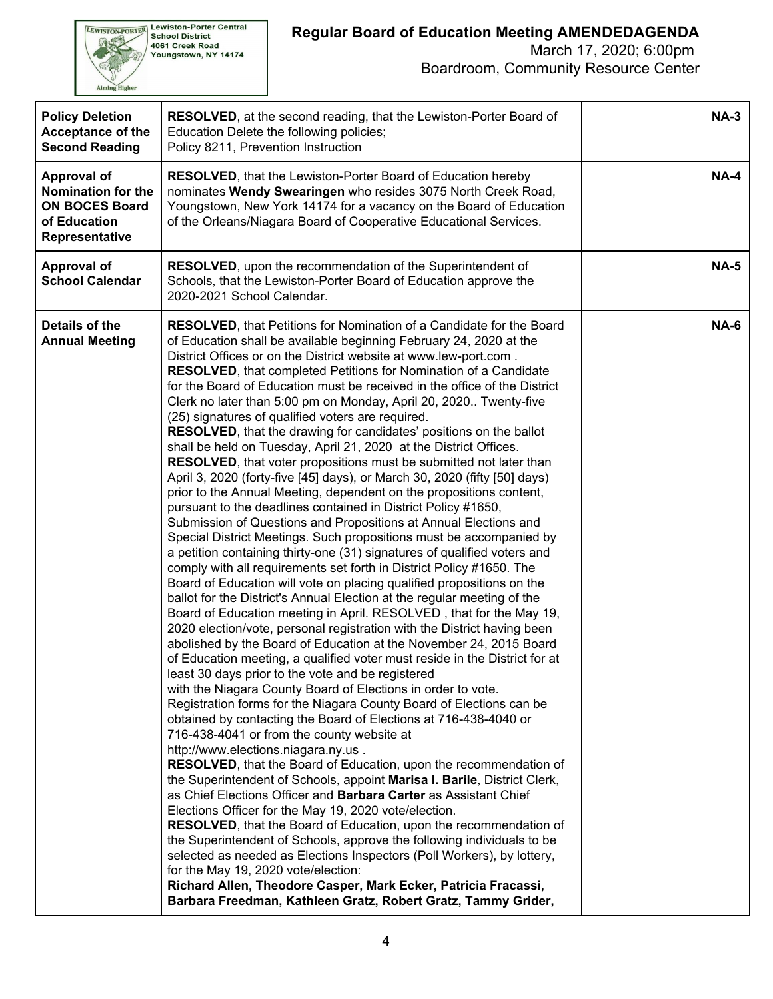

### March 17, 2020; 6:00pm Boardroom, Community Resource Center

|                                         | <b>Policy Deletion</b><br><b>Acceptance of the</b><br><b>Second Reading</b>                         | <b>RESOLVED, at the second reading, that the Lewiston-Porter Board of</b><br>Education Delete the following policies;<br>Policy 8211, Prevention Instruction                                                                                                                                                                                                                                                                                                                                                                                                                                                                                                                                                                                                                                                                                                                                                                                                                                                                                                                                                                                                                                                                                                                                                                                                                                                                                                                                                                                                                                                                                                                                                                                                                                                                                                                                                                                                                                                                                                                                                                                                                                                                                                                                                                                                                                                                                                                                                                                                                                                                                                                                                                                                        | $NA-3$      |
|-----------------------------------------|-----------------------------------------------------------------------------------------------------|---------------------------------------------------------------------------------------------------------------------------------------------------------------------------------------------------------------------------------------------------------------------------------------------------------------------------------------------------------------------------------------------------------------------------------------------------------------------------------------------------------------------------------------------------------------------------------------------------------------------------------------------------------------------------------------------------------------------------------------------------------------------------------------------------------------------------------------------------------------------------------------------------------------------------------------------------------------------------------------------------------------------------------------------------------------------------------------------------------------------------------------------------------------------------------------------------------------------------------------------------------------------------------------------------------------------------------------------------------------------------------------------------------------------------------------------------------------------------------------------------------------------------------------------------------------------------------------------------------------------------------------------------------------------------------------------------------------------------------------------------------------------------------------------------------------------------------------------------------------------------------------------------------------------------------------------------------------------------------------------------------------------------------------------------------------------------------------------------------------------------------------------------------------------------------------------------------------------------------------------------------------------------------------------------------------------------------------------------------------------------------------------------------------------------------------------------------------------------------------------------------------------------------------------------------------------------------------------------------------------------------------------------------------------------------------------------------------------------------------------------------------------|-------------|
|                                         | <b>Approval of</b><br>Nomination for the<br><b>ON BOCES Board</b><br>of Education<br>Representative | RESOLVED, that the Lewiston-Porter Board of Education hereby<br>nominates Wendy Swearingen who resides 3075 North Creek Road,<br>Youngstown, New York 14174 for a vacancy on the Board of Education<br>of the Orleans/Niagara Board of Cooperative Educational Services.                                                                                                                                                                                                                                                                                                                                                                                                                                                                                                                                                                                                                                                                                                                                                                                                                                                                                                                                                                                                                                                                                                                                                                                                                                                                                                                                                                                                                                                                                                                                                                                                                                                                                                                                                                                                                                                                                                                                                                                                                                                                                                                                                                                                                                                                                                                                                                                                                                                                                            | <b>NA-4</b> |
|                                         | Approval of<br><b>School Calendar</b>                                                               | RESOLVED, upon the recommendation of the Superintendent of<br>Schools, that the Lewiston-Porter Board of Education approve the<br>2020-2021 School Calendar.                                                                                                                                                                                                                                                                                                                                                                                                                                                                                                                                                                                                                                                                                                                                                                                                                                                                                                                                                                                                                                                                                                                                                                                                                                                                                                                                                                                                                                                                                                                                                                                                                                                                                                                                                                                                                                                                                                                                                                                                                                                                                                                                                                                                                                                                                                                                                                                                                                                                                                                                                                                                        | <b>NA-5</b> |
| Details of the<br><b>Annual Meeting</b> |                                                                                                     | <b>RESOLVED, that Petitions for Nomination of a Candidate for the Board</b><br>of Education shall be available beginning February 24, 2020 at the<br>District Offices or on the District website at www.lew-port.com.<br><b>RESOLVED, that completed Petitions for Nomination of a Candidate</b><br>for the Board of Education must be received in the office of the District<br>Clerk no later than 5:00 pm on Monday, April 20, 2020 Twenty-five<br>(25) signatures of qualified voters are required.<br><b>RESOLVED</b> , that the drawing for candidates' positions on the ballot<br>shall be held on Tuesday, April 21, 2020 at the District Offices.<br><b>RESOLVED</b> , that voter propositions must be submitted not later than<br>April 3, 2020 (forty-five [45] days), or March 30, 2020 (fifty [50] days)<br>prior to the Annual Meeting, dependent on the propositions content,<br>pursuant to the deadlines contained in District Policy #1650,<br>Submission of Questions and Propositions at Annual Elections and<br>Special District Meetings. Such propositions must be accompanied by<br>a petition containing thirty-one (31) signatures of qualified voters and<br>comply with all requirements set forth in District Policy #1650. The<br>Board of Education will vote on placing qualified propositions on the<br>ballot for the District's Annual Election at the regular meeting of the<br>Board of Education meeting in April. RESOLVED, that for the May 19,<br>2020 election/vote, personal registration with the District having been<br>abolished by the Board of Education at the November 24, 2015 Board<br>of Education meeting, a qualified voter must reside in the District for at<br>least 30 days prior to the vote and be registered<br>with the Niagara County Board of Elections in order to vote.<br>Registration forms for the Niagara County Board of Elections can be<br>obtained by contacting the Board of Elections at 716-438-4040 or<br>716-438-4041 or from the county website at<br>http://www.elections.niagara.ny.us.<br>RESOLVED, that the Board of Education, upon the recommendation of<br>the Superintendent of Schools, appoint Marisa I. Barile, District Clerk,<br>as Chief Elections Officer and Barbara Carter as Assistant Chief<br>Elections Officer for the May 19, 2020 vote/election.<br><b>RESOLVED, that the Board of Education, upon the recommendation of</b><br>the Superintendent of Schools, approve the following individuals to be<br>selected as needed as Elections Inspectors (Poll Workers), by lottery,<br>for the May 19, 2020 vote/election:<br>Richard Allen, Theodore Casper, Mark Ecker, Patricia Fracassi,<br>Barbara Freedman, Kathleen Gratz, Robert Gratz, Tammy Grider, | <b>NA-6</b> |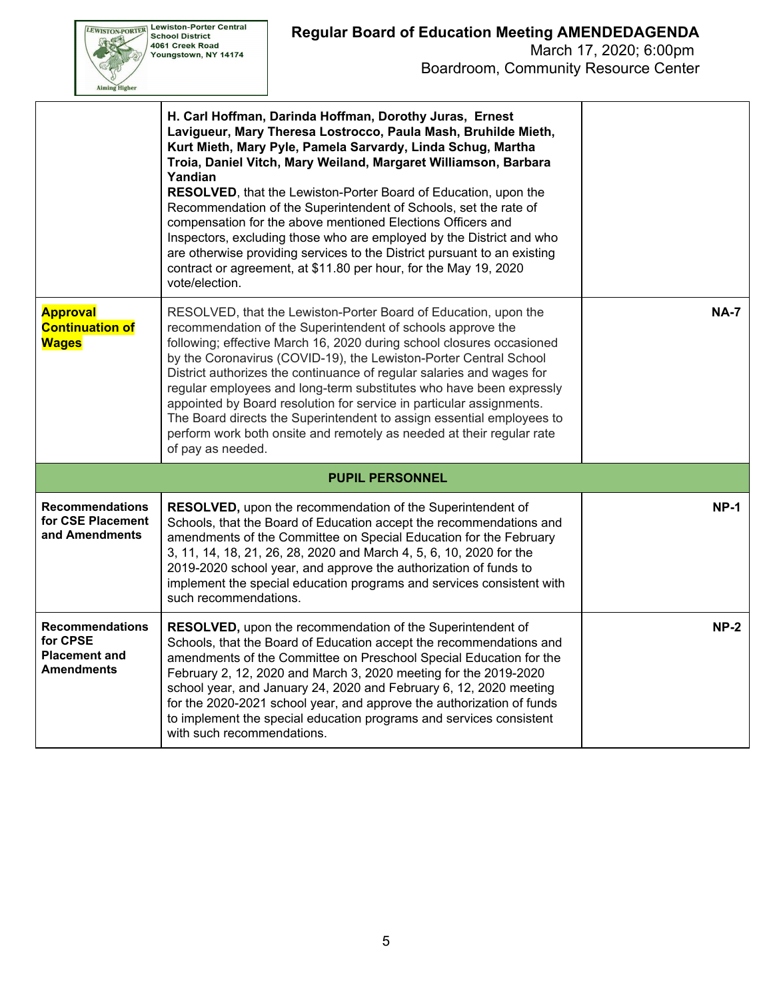| <b>VISTON-PORTER</b> | <b>Lewiston-Porter Central</b><br><b>School District</b><br>4061 Creek Road<br>Youngstown, NY 14174 |
|----------------------|-----------------------------------------------------------------------------------------------------|
|                      |                                                                                                     |

Boardroom, Community Resource Center

|                                                                                 | H. Carl Hoffman, Darinda Hoffman, Dorothy Juras, Ernest<br>Lavigueur, Mary Theresa Lostrocco, Paula Mash, Bruhilde Mieth,<br>Kurt Mieth, Mary Pyle, Pamela Sarvardy, Linda Schug, Martha<br>Troia, Daniel Vitch, Mary Weiland, Margaret Williamson, Barbara<br>Yandian<br>RESOLVED, that the Lewiston-Porter Board of Education, upon the<br>Recommendation of the Superintendent of Schools, set the rate of<br>compensation for the above mentioned Elections Officers and<br>Inspectors, excluding those who are employed by the District and who<br>are otherwise providing services to the District pursuant to an existing<br>contract or agreement, at \$11.80 per hour, for the May 19, 2020<br>vote/election. |             |
|---------------------------------------------------------------------------------|------------------------------------------------------------------------------------------------------------------------------------------------------------------------------------------------------------------------------------------------------------------------------------------------------------------------------------------------------------------------------------------------------------------------------------------------------------------------------------------------------------------------------------------------------------------------------------------------------------------------------------------------------------------------------------------------------------------------|-------------|
| <b>Approval</b><br><b>Continuation of</b><br><b>Wages</b>                       | RESOLVED, that the Lewiston-Porter Board of Education, upon the<br>recommendation of the Superintendent of schools approve the<br>following; effective March 16, 2020 during school closures occasioned<br>by the Coronavirus (COVID-19), the Lewiston-Porter Central School<br>District authorizes the continuance of regular salaries and wages for<br>regular employees and long-term substitutes who have been expressly<br>appointed by Board resolution for service in particular assignments.<br>The Board directs the Superintendent to assign essential employees to<br>perform work both onsite and remotely as needed at their regular rate<br>of pay as needed.                                            | <b>NA-7</b> |
|                                                                                 |                                                                                                                                                                                                                                                                                                                                                                                                                                                                                                                                                                                                                                                                                                                        |             |
| <b>Recommendations</b><br>for CSE Placement<br>and Amendments                   | <b>RESOLVED, upon the recommendation of the Superintendent of</b><br>Schools, that the Board of Education accept the recommendations and<br>amendments of the Committee on Special Education for the February<br>3, 11, 14, 18, 21, 26, 28, 2020 and March 4, 5, 6, 10, 2020 for the<br>2019-2020 school year, and approve the authorization of funds to<br>implement the special education programs and services consistent with<br>such recommendations.                                                                                                                                                                                                                                                             | $NP-1$      |
| <b>Recommendations</b><br>for CPSE<br><b>Placement and</b><br><b>Amendments</b> | RESOLVED, upon the recommendation of the Superintendent of<br>Schools, that the Board of Education accept the recommendations and<br>amendments of the Committee on Preschool Special Education for the<br>February 2, 12, 2020 and March 3, 2020 meeting for the 2019-2020<br>school year, and January 24, 2020 and February 6, 12, 2020 meeting<br>for the 2020-2021 school year, and approve the authorization of funds<br>to implement the special education programs and services consistent<br>with such recommendations.                                                                                                                                                                                        | $NP-2$      |